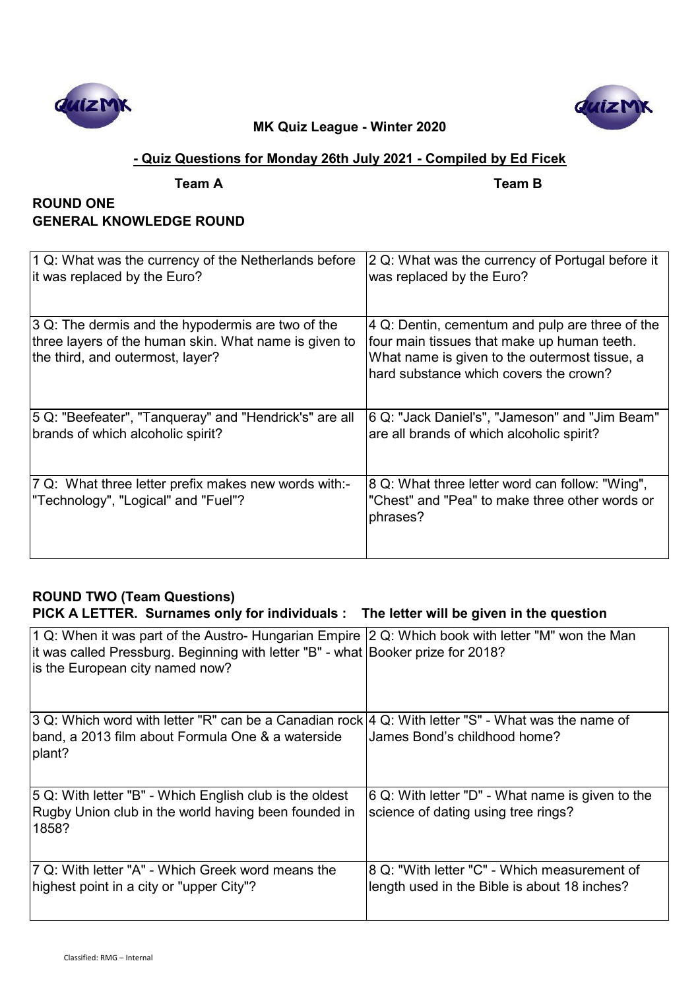



## **- Quiz Questions for Monday 26th July 2021 - Compiled by Ed Ficek**

**Team A Team B**

# **ROUND ONE GENERAL KNOWLEDGE ROUND**

| 1 Q: What was the currency of the Netherlands before<br>it was replaced by the Euro? | 2 Q: What was the currency of Portugal before it<br>was replaced by the Euro? |
|--------------------------------------------------------------------------------------|-------------------------------------------------------------------------------|
| 3 Q: The dermis and the hypodermis are two of the                                    | 4 Q: Dentin, cementum and pulp are three of the                               |
| three layers of the human skin. What name is given to                                | four main tissues that make up human teeth.                                   |
| the third, and outermost, layer?                                                     | What name is given to the outermost tissue, a                                 |
|                                                                                      | hard substance which covers the crown?                                        |
|                                                                                      |                                                                               |
| 5 Q: "Beefeater", "Tanqueray" and "Hendrick's" are all                               | 6 Q: "Jack Daniel's", "Jameson" and "Jim Beam"                                |
| brands of which alcoholic spirit?                                                    | are all brands of which alcoholic spirit?                                     |
|                                                                                      |                                                                               |
| 7 Q: What three letter prefix makes new words with:-                                 | 8 Q: What three letter word can follow: "Wing",                               |
| "Technology", "Logical" and "Fuel"?                                                  | "Chest" and "Pea" to make three other words or<br>phrases?                    |
|                                                                                      |                                                                               |

# **ROUND TWO (Team Questions)**

# **PICK A LETTER. Surnames only for individuals : The letter will be given in the question**

| 1 Q: When it was part of the Austro- Hungarian Empire $ 2$ Q: Which book with letter "M" won the Man<br>it was called Pressburg. Beginning with letter "B" - what Booker prize for 2018?<br>is the European city named now? |                                                                                              |
|-----------------------------------------------------------------------------------------------------------------------------------------------------------------------------------------------------------------------------|----------------------------------------------------------------------------------------------|
| 3 Q: Which word with letter "R" can be a Canadian rock 4 Q: With letter "S" - What was the name of<br>band, a 2013 film about Formula One & a waterside<br>plant?                                                           | James Bond's childhood home?                                                                 |
| 5 Q: With letter "B" - Which English club is the oldest<br>Rugby Union club in the world having been founded in<br>1858?                                                                                                    | 6 Q: With letter "D" - What name is given to the<br>science of dating using tree rings?      |
| 7 Q: With letter "A" - Which Greek word means the<br>highest point in a city or "upper City"?                                                                                                                               | 8 Q: "With letter "C" - Which measurement of<br>length used in the Bible is about 18 inches? |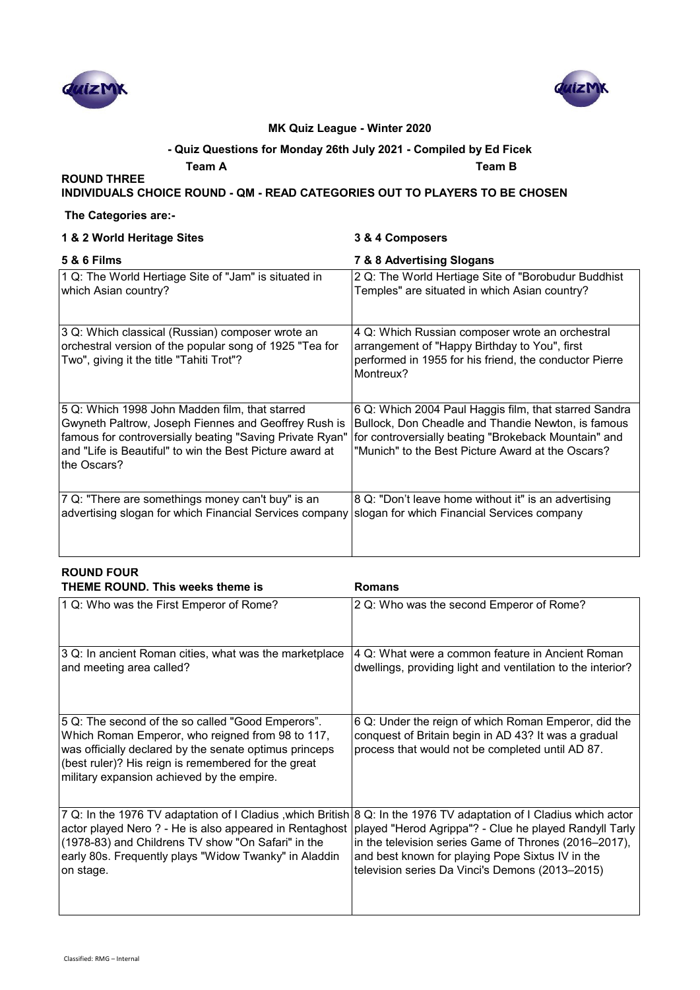



### **- Quiz Questions for Monday 26th July 2021 - Compiled by Ed Ficek**

**Team A Team B**

### **INDIVIDUALS CHOICE ROUND - QM - READ CATEGORIES OUT TO PLAYERS TO BE CHOSEN**

### **The Categories are:-**

**ROUND THREE** 

|  |  |  |  | 1 & 2 World Heritage Sites |  |
|--|--|--|--|----------------------------|--|
|--|--|--|--|----------------------------|--|

### **1 & 2 World Heritage Sites 3 & 4 Composers**

| <b>5 &amp; 6 Films</b>                                                                                                                                                                                                                        | 7 & 8 Advertising Slogans                                                                                                                                                                                                |
|-----------------------------------------------------------------------------------------------------------------------------------------------------------------------------------------------------------------------------------------------|--------------------------------------------------------------------------------------------------------------------------------------------------------------------------------------------------------------------------|
| 1 Q: The World Hertiage Site of "Jam" is situated in<br>which Asian country?                                                                                                                                                                  | 2 Q: The World Hertiage Site of "Borobudur Buddhist<br>Temples" are situated in which Asian country?                                                                                                                     |
| 3 Q: Which classical (Russian) composer wrote an<br>orchestral version of the popular song of 1925 "Tea for<br>Two", giving it the title "Tahiti Trot"?                                                                                       | 4 Q: Which Russian composer wrote an orchestral<br>arrangement of "Happy Birthday to You", first<br>performed in 1955 for his friend, the conductor Pierre<br>Montreux?                                                  |
| 5 Q: Which 1998 John Madden film, that starred<br>Gwyneth Paltrow, Joseph Fiennes and Geoffrey Rush is<br>famous for controversially beating "Saving Private Ryan"<br>and "Life is Beautiful" to win the Best Picture award at<br>the Oscars? | 6 Q: Which 2004 Paul Haggis film, that starred Sandra<br>Bullock, Don Cheadle and Thandie Newton, is famous<br>for controversially beating "Brokeback Mountain" and<br>"Munich" to the Best Picture Award at the Oscars? |
| 7 Q: "There are somethings money can't buy" is an<br>advertising slogan for which Financial Services company                                                                                                                                  | 8 Q: "Don't leave home without it" is an advertising<br>slogan for which Financial Services company                                                                                                                      |

### **ROUND FOUR THEME ROUND. This weeks theme is Romans** 1 Q: Who was the First Emperor of Rome? 2 Q: Who was the second Emperor of Rome? 3 Q: In ancient Roman cities, what was the marketplace and meeting area called? 4 Q: What were a common feature in Ancient Roman dwellings, providing light and ventilation to the interior? 5 Q: The second of the so called "Good Emperors". Which Roman Emperor, who reigned from 98 to 117, was officially declared by the senate optimus princeps (best ruler)? His reign is remembered for the great military expansion achieved by the empire. 6 Q: Under the reign of which Roman Emperor, did the conquest of Britain begin in AD 43? It was a gradual process that would not be completed until AD 87. 7 Q: In the 1976 TV adaptation of I Cladius ,which British 8 Q: In the 1976 TV adaptation of I Cladius which actor actor played Nero ? - He is also appeared in Rentaghost (1978-83) and Childrens TV show "On Safari" in the early 80s. Frequently plays "Widow Twanky" in Aladdin on stage. played "Herod Agrippa"? - Clue he played Randyll Tarly in the television series Game of Thrones (2016–2017), and best known for playing Pope Sixtus IV in the television series Da Vinci's Demons (2013–2015)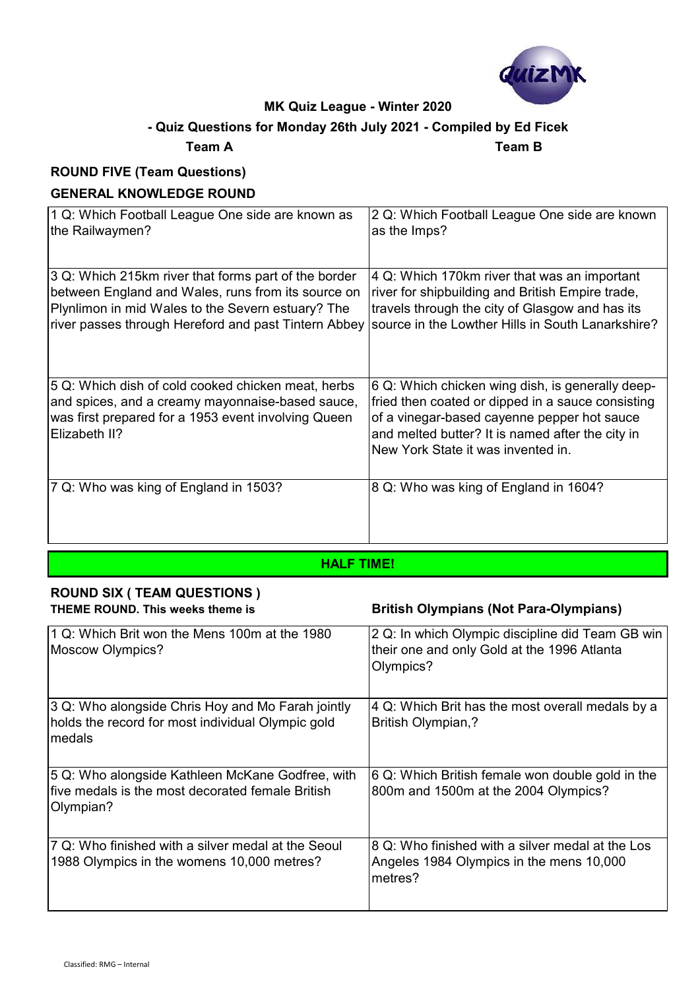

# **- Quiz Questions for Monday 26th July 2021 - Compiled by Ed Ficek**

### **Team A Team B**

# **ROUND FIVE (Team Questions)**

## **GENERAL KNOWLEDGE ROUND**

| 1 Q: Which Football League One side are known as                                                                                                                               | 2 Q: Which Football League One side are known                                                                                                                                                                                                  |
|--------------------------------------------------------------------------------------------------------------------------------------------------------------------------------|------------------------------------------------------------------------------------------------------------------------------------------------------------------------------------------------------------------------------------------------|
| the Railwaymen?                                                                                                                                                                | as the Imps?                                                                                                                                                                                                                                   |
| 3 Q: Which 215km river that forms part of the border                                                                                                                           | 4 Q: Which 170km river that was an important                                                                                                                                                                                                   |
| between England and Wales, runs from its source on                                                                                                                             | river for shipbuilding and British Empire trade,                                                                                                                                                                                               |
| Plynlimon in mid Wales to the Severn estuary? The                                                                                                                              | travels through the city of Glasgow and has its                                                                                                                                                                                                |
| river passes through Hereford and past Tintern Abbey                                                                                                                           | source in the Lowther Hills in South Lanarkshire?                                                                                                                                                                                              |
| 5 Q: Which dish of cold cooked chicken meat, herbs<br>and spices, and a creamy mayonnaise-based sauce,<br>was first prepared for a 1953 event involving Queen<br>Elizabeth II? | 6 Q: Which chicken wing dish, is generally deep-<br>fried then coated or dipped in a sauce consisting<br>of a vinegar-based cayenne pepper hot sauce<br>and melted butter? It is named after the city in<br>New York State it was invented in. |
| 7 Q: Who was king of England in 1503?                                                                                                                                          | 8 Q: Who was king of England in 1604?                                                                                                                                                                                                          |

### **HALF TIME!**

# **ROUND SIX ( TEAM QUESTIONS )**

### **THEME ROUND. This weeks theme is British Olympians (Not Para-Olympians)**

| 1 Q: Which Brit won the Mens 100m at the 1980<br>Moscow Olympics?                                                 | 2 Q: In which Olympic discipline did Team GB win<br>their one and only Gold at the 1996 Atlanta<br>Olympics? |
|-------------------------------------------------------------------------------------------------------------------|--------------------------------------------------------------------------------------------------------------|
| 3 Q: Who alongside Chris Hoy and Mo Farah jointly<br>holds the record for most individual Olympic gold<br>Imedals | 4 Q: Which Brit has the most overall medals by a<br><b>British Olympian,?</b>                                |
| 5 Q: Who alongside Kathleen McKane Godfree, with<br>five medals is the most decorated female British<br>Olympian? | 6 Q: Which British female won double gold in the<br>800m and 1500m at the 2004 Olympics?                     |
| 7 Q: Who finished with a silver medal at the Seoul<br>1988 Olympics in the womens 10,000 metres?                  | 8 Q: Who finished with a silver medal at the Los<br>Angeles 1984 Olympics in the mens 10,000<br>metres?      |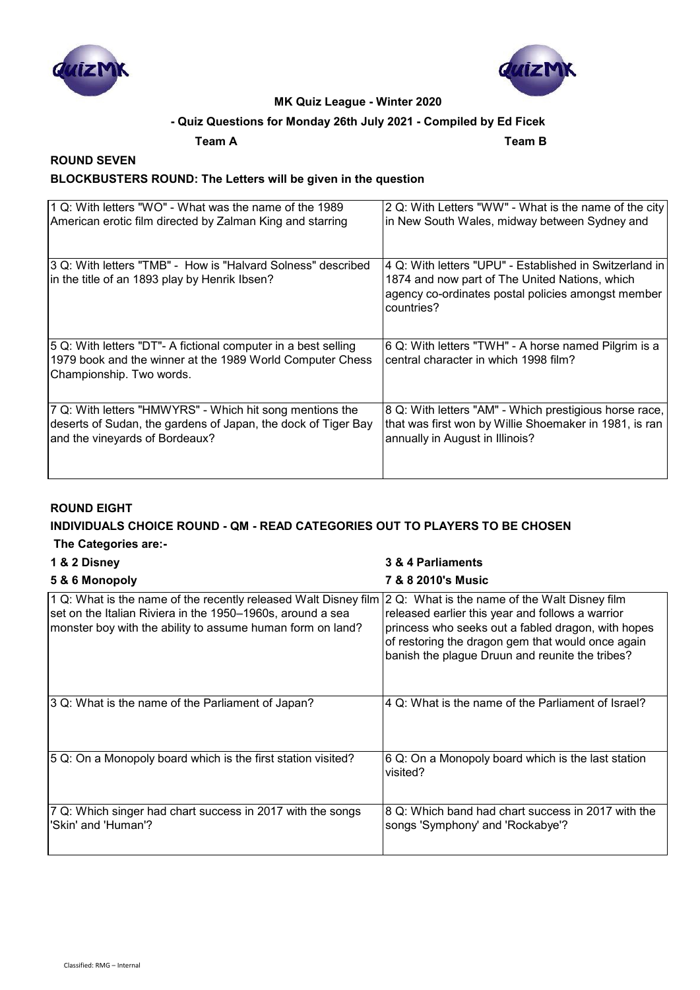



## **- Quiz Questions for Monday 26th July 2021 - Compiled by Ed Ficek**

**Team A Team B**

## **ROUND SEVEN BLOCKBUSTERS ROUND: The Letters will be given in the question**

| 1 Q: With letters "WO" - What was the name of the 1989                                                                                                  | 2 Q: With Letters "WW" - What is the name of the city                                                                                                                            |
|---------------------------------------------------------------------------------------------------------------------------------------------------------|----------------------------------------------------------------------------------------------------------------------------------------------------------------------------------|
| American erotic film directed by Zalman King and starring                                                                                               | in New South Wales, midway between Sydney and                                                                                                                                    |
| 3 Q: With letters "TMB" - How is "Halvard Solness" described<br>in the title of an 1893 play by Henrik Ibsen?                                           | I4 Q: With letters "UPU" - Established in Switzerland in l<br>1874 and now part of The United Nations, which<br>agency co-ordinates postal policies amongst member<br>countries? |
| 5 Q: With letters "DT"- A fictional computer in a best selling<br>1979 book and the winner at the 1989 World Computer Chess<br>Championship. Two words. | 6 Q: With letters "TWH" - A horse named Pilgrim is a<br>central character in which 1998 film?                                                                                    |
| 7 Q: With letters "HMWYRS" - Which hit song mentions the                                                                                                | 8 Q: With letters "AM" - Which prestigious horse race,                                                                                                                           |
| deserts of Sudan, the gardens of Japan, the dock of Tiger Bay                                                                                           | that was first won by Willie Shoemaker in 1981, is ran                                                                                                                           |
| and the vineyards of Bordeaux?                                                                                                                          | annually in August in Illinois?                                                                                                                                                  |

### **ROUND EIGHT**

### **INDIVIDUALS CHOICE ROUND - QM - READ CATEGORIES OUT TO PLAYERS TO BE CHOSEN**

### **The Categories are:-**

| 1 & 2 Disney                                                                                                                                                                                | 3 & 4 Parliaments                                                                                                                                                                                                                                               |
|---------------------------------------------------------------------------------------------------------------------------------------------------------------------------------------------|-----------------------------------------------------------------------------------------------------------------------------------------------------------------------------------------------------------------------------------------------------------------|
| 5 & 6 Monopoly                                                                                                                                                                              | <b>7 &amp; 8 2010's Music</b>                                                                                                                                                                                                                                   |
| 1 Q: What is the name of the recently released Walt Disney film<br>set on the Italian Riviera in the 1950–1960s, around a sea<br>monster boy with the ability to assume human form on land? | 2 Q: What is the name of the Walt Disney film<br>released earlier this year and follows a warrior<br>princess who seeks out a fabled dragon, with hopes<br>of restoring the dragon gem that would once again<br>banish the plague Druun and reunite the tribes? |
| 3 Q: What is the name of the Parliament of Japan?                                                                                                                                           | 4 Q: What is the name of the Parliament of Israel?                                                                                                                                                                                                              |
| 5 Q: On a Monopoly board which is the first station visited?                                                                                                                                | 6 Q: On a Monopoly board which is the last station<br>visited?                                                                                                                                                                                                  |
| 7 Q: Which singer had chart success in 2017 with the songs<br>'Skin' and 'Human'?                                                                                                           | 8 Q: Which band had chart success in 2017 with the<br>songs 'Symphony' and 'Rockabye'?                                                                                                                                                                          |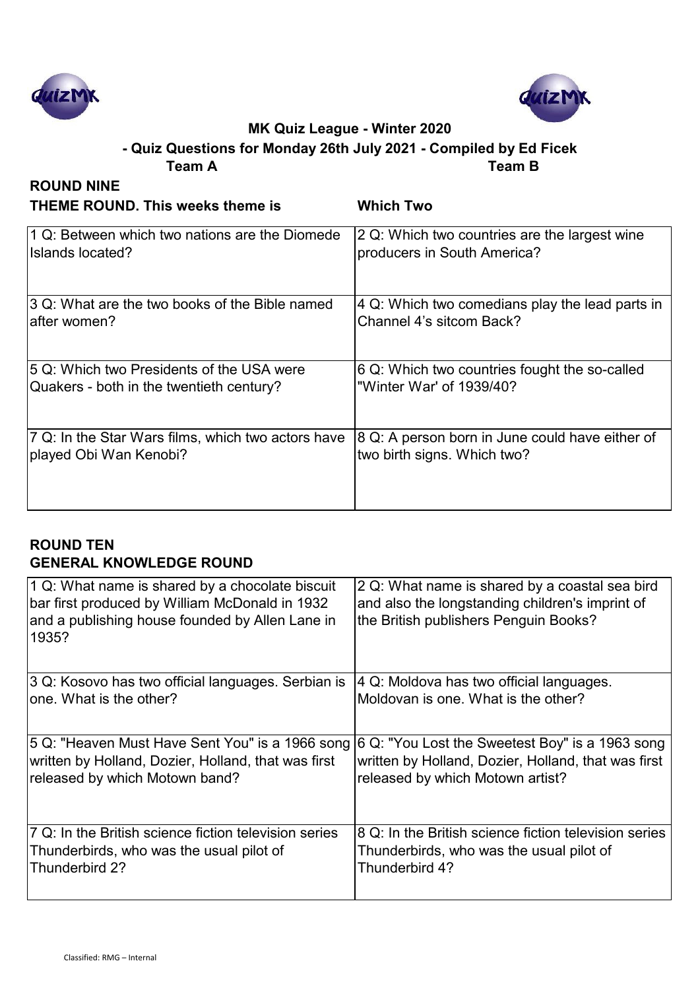



# **Team A Team B - Quiz Questions for Monday 26th July 2021 - Compiled by Ed Ficek**

| <b>ROUND NINE</b>                                  |                                                 |
|----------------------------------------------------|-------------------------------------------------|
| <b>THEME ROUND. This weeks theme is</b>            | <b>Which Two</b>                                |
| 1 Q: Between which two nations are the Diomede     | 2 Q: Which two countries are the largest wine   |
| Islands located?                                   | producers in South America?                     |
| 3 Q: What are the two books of the Bible named     | 4 Q: Which two comedians play the lead parts in |
| after women?                                       | Channel 4's sitcom Back?                        |
| 5 Q: Which two Presidents of the USA were          | 6 Q: Which two countries fought the so-called   |
| Quakers - both in the twentieth century?           | "Winter War' of 1939/40?                        |
| 7 Q: In the Star Wars films, which two actors have | 8 Q: A person born in June could have either of |
| played Obi Wan Kenobi?                             | two birth signs. Which two?                     |

## **ROUND TEN GENERAL KNOWLEDGE ROUND**

| 1 Q: What name is shared by a chocolate biscuit<br>bar first produced by William McDonald in 1932<br>and a publishing house founded by Allen Lane in<br>1935? | 2 Q: What name is shared by a coastal sea bird<br>and also the longstanding children's imprint of<br>the British publishers Penguin Books? |
|---------------------------------------------------------------------------------------------------------------------------------------------------------------|--------------------------------------------------------------------------------------------------------------------------------------------|
| 3 Q: Kosovo has two official languages. Serbian is                                                                                                            | 4 Q: Moldova has two official languages.                                                                                                   |
| one. What is the other?                                                                                                                                       | Moldovan is one. What is the other?                                                                                                        |
| 5 Q: "Heaven Must Have Sent You" is a 1966 song                                                                                                               | 6 Q: "You Lost the Sweetest Boy" is a 1963 song                                                                                            |
| written by Holland, Dozier, Holland, that was first                                                                                                           | written by Holland, Dozier, Holland, that was first                                                                                        |
| released by which Motown band?                                                                                                                                | released by which Motown artist?                                                                                                           |
| 7 Q: In the British science fiction television series                                                                                                         | 8 Q: In the British science fiction television series                                                                                      |
| Thunderbirds, who was the usual pilot of                                                                                                                      | Thunderbirds, who was the usual pilot of                                                                                                   |
| Thunderbird 2?                                                                                                                                                | Thunderbird 4?                                                                                                                             |